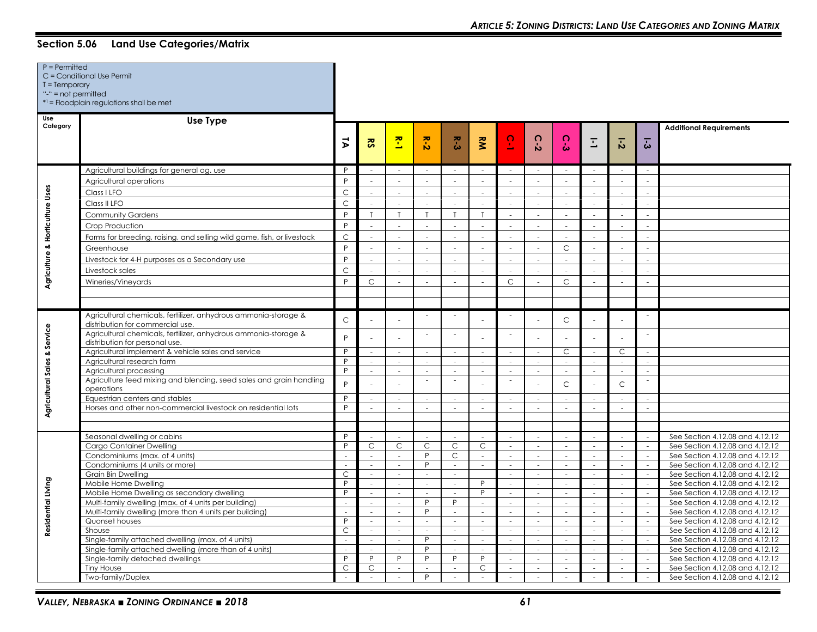| $P = Permitted$<br>$T = Temporary$<br>"-" = $not$ permitted | C = Conditional Use Permit<br>$*1 =$ Floodplain regulations shall be met                            |                |                          |                             |                          |                          |                      |                             |                             |                          |                          |                          |                          |                                 |
|-------------------------------------------------------------|-----------------------------------------------------------------------------------------------------|----------------|--------------------------|-----------------------------|--------------------------|--------------------------|----------------------|-----------------------------|-----------------------------|--------------------------|--------------------------|--------------------------|--------------------------|---------------------------------|
| Use<br>Category                                             | Use Type                                                                                            | $\vec{v}$      | $\overline{\mathbf{s}}$  | 존                           | $R - 2$                  | بر<br>ن                  | $\tilde{\mathbf{z}}$ | $\overline{5}$              | $\Omega$<br>$\mathbf{v}$    | $\Omega$<br>Ŵ            | E                        | $\overline{5}$           | こ                        | <b>Additional Requirements</b>  |
|                                                             |                                                                                                     |                |                          |                             |                          |                          |                      |                             |                             |                          |                          |                          |                          |                                 |
|                                                             | Agricultural buildings for general ag. use                                                          | P              |                          |                             | $\sim$                   | $\overline{\phantom{a}}$ | $\sim$               | $\sim$                      |                             | $\sim$                   | $\sim$                   | $\overline{\phantom{a}}$ |                          |                                 |
|                                                             | Agricultural operations                                                                             | P              |                          |                             |                          |                          | ÷.                   |                             |                             |                          |                          |                          |                          |                                 |
| Agriculture & Horticulture Uses                             | Class I LFO                                                                                         | $\mathsf C$    | $\sim$                   | $\sim$                      | in 19                    | ÷.                       | $\sim$               | х.                          | ÷.                          |                          | ÷.                       | $\sim$                   | ÷                        |                                 |
|                                                             | Class II LFO                                                                                        | $\mathsf{C}$   |                          |                             | i a                      | ÷.                       | ÷.                   |                             |                             |                          |                          | $\sim$                   |                          |                                 |
|                                                             | <b>Community Gardens</b>                                                                            | P              | $\mathsf{T}$             | $\mathsf{T}$                | $\mathsf{T}$             | $\mathsf{T}$             | $\mathsf{T}$         | $\sim$                      | $\mathcal{L}$               | ÷.                       | $\sim$                   | $\sim$                   | $\overline{a}$           |                                 |
|                                                             | Crop Production                                                                                     | P              |                          |                             |                          | $\sim$                   | $\sim$               | $\sim$                      |                             |                          | $\bar{a}$                | $\omega$                 |                          |                                 |
|                                                             | Farms for breeding, raising, and selling wild game, fish, or livestock                              | $\mathsf C$    |                          | in 1919.                    |                          | - 1                      | $\sim$               | a.                          | $\sim$                      |                          |                          | ÷.                       |                          |                                 |
|                                                             | Greenhouse                                                                                          | P              | $\sim$                   | $\mathcal{L}_{\mathcal{A}}$ | $\sim$                   | $\sim$                   | $\sim$               | $\sim$                      | $\mathcal{L}_{\mathcal{A}}$ | $\mathsf{C}$             | $\sim$                   | $\sim$                   | ÷                        |                                 |
|                                                             | Livestock for 4-H purposes as a Secondary use                                                       | P              |                          | $\sim$                      |                          | $\overline{a}$           | i.                   | ÷                           | $\overline{a}$              | $\overline{a}$           |                          | $\mathcal{L}$            |                          |                                 |
|                                                             | Livestock sales                                                                                     | $\mathsf{C}$   |                          |                             |                          |                          | $\sim$               |                             |                             |                          |                          | $\sim$                   |                          |                                 |
|                                                             |                                                                                                     | P              | $\mathsf{C}$             |                             |                          |                          | $\sim$               | $\mathsf{C}$                |                             | $\mathsf{C}$             |                          | $\sim$                   | $\mathbf{r}$             |                                 |
|                                                             | Wineries/Vineyards                                                                                  |                |                          |                             |                          |                          |                      |                             |                             |                          |                          |                          |                          |                                 |
|                                                             |                                                                                                     |                |                          |                             |                          |                          |                      |                             |                             |                          |                          |                          |                          |                                 |
|                                                             |                                                                                                     |                |                          |                             |                          |                          |                      |                             |                             |                          |                          |                          |                          |                                 |
|                                                             | Agricultural chemicals, fertilizer, anhydrous ammonia-storage &<br>distribution for commercial use. | $\mathsf C$    |                          |                             | $\sim$                   | $\overline{\phantom{a}}$ |                      | $\sim$                      |                             | $\mathsf C$              |                          |                          | $\sim$                   |                                 |
| Agricultural Sales & Service                                | Agricultural chemicals, fertilizer, anhydrous ammonia-storage &<br>distribution for personal use.   | P              |                          |                             | i a                      | $\sim$                   |                      | $\sim$                      |                             |                          |                          |                          |                          |                                 |
|                                                             | Agricultural implement & vehicle sales and service                                                  | P              | $\overline{\phantom{a}}$ | $\sim$                      | $\sim$                   | $\sim$                   | $\sim$               | $\sim$                      | $\sim$                      | C                        | $\sim$                   | $\mathsf{C}$             | $\sim$                   |                                 |
|                                                             | Agricultural research farm                                                                          | P              | $\overline{\phantom{a}}$ | $\sim$                      | $\sim$                   | $\sim$                   | $\sim$               | $\sim$                      | $\sim$                      | $\sim$                   | $\sim$                   | $\sim$                   |                          |                                 |
|                                                             | Agricultural processing                                                                             | P              | $\overline{\phantom{a}}$ | $\sim$                      | $\sim$                   | $\sim$                   | $\sim$               | $\sim$                      | $\mathcal{L}$               | $\sim$                   | $\mathcal{L}$            | $\sim$                   | $\sim$                   |                                 |
|                                                             | Agriculture feed mixing and blending, seed sales and grain handling<br>operations                   | P              |                          |                             | $\overline{\phantom{a}}$ | $\sim$                   |                      | $\sim$                      |                             | $\mathsf{C}$             |                          | $\mathsf{C}$             |                          |                                 |
|                                                             | Equestrian centers and stables                                                                      | P              |                          | $\overline{a}$              |                          | ÷                        | $\overline{a}$       | ÷.                          | ÷                           |                          | $\sim$                   | $\overline{\phantom{a}}$ | ÷.                       |                                 |
|                                                             | Horses and other non-commercial livestock on residential lots                                       | P              | $\sim$                   | $\sim$                      | $\sim$                   | $\sim$                   | $\sim$               | $\sim$                      | $\mathcal{L}$               | $\sim$                   | $\sim$                   | $\sim$                   | $\sim$                   |                                 |
|                                                             |                                                                                                     |                |                          |                             |                          |                          |                      |                             |                             |                          |                          |                          |                          |                                 |
|                                                             | Seasonal dwelling or cabins                                                                         | P              |                          |                             |                          |                          |                      |                             |                             |                          |                          | $\sim$                   |                          | See Section 4.12.08 and 4.12.12 |
|                                                             | Cargo Container Dwelling                                                                            | P              | $\mathsf{C}$             | C.                          | C                        | $\mathsf C$              | C                    | $\sim$                      | $\mathcal{L}^{\mathcal{A}}$ | i.                       | $\sim$                   | $\sim$                   | $\sim$                   | See Section 4.12.08 and 4.12.12 |
|                                                             | Condominiums (max. of 4 units)                                                                      | ÷,             | $\sim$                   | $\sim$                      | P                        | $\mathsf{C}$             | $\sim$               | $\sim$                      | $\bar{a}$                   | $\overline{\phantom{a}}$ | $\sim$                   | $\sim$                   | $\sim$                   | See Section 4.12.08 and 4.12.12 |
|                                                             | Condominiums (4 units or more)                                                                      | $\overline{a}$ | $\sim$                   | $\sim$                      | P                        | $\sim$                   | $\sim$               | $\sim$                      | $\sim$                      | $\sim$                   | $\sim$                   | $\sim$                   | $\mathcal{L}$            | See Section 4.12.08 and 4.12.12 |
|                                                             | Grain Bin Dwelling                                                                                  | $\mathsf{C}$   | $\mathcal{L}$            | $\sim$                      |                          | $\mathcal{L}$            |                      | ÷                           | $\mathcal{L}$               | ÷.                       | $\overline{a}$           | $\mathcal{L}$            | $\sim$                   | See Section 4.12.08 and 4.12.12 |
|                                                             | Mobile Home Dwelling                                                                                | P              | $\sim$                   | $\sim$                      | $\sim$                   | $\sim$                   | P                    | $\sim$                      | $\sim$                      | $\sim$                   | $\sim$                   | $\sim$                   | $\sim$                   | See Section 4.12.08 and 4.12.12 |
| Residential Living                                          | Mobile Home Dwelling as secondary dwelling                                                          | P              | $\sim$                   | $\sim$                      | $\sim$                   | $\sim$                   | P                    | $\sim$                      | $\sim$                      | $\sim$                   | $\sim$                   | $\sim$                   | ÷.                       | See Section 4.12.08 and 4.12.12 |
|                                                             | Multi-family dwelling (max. of 4 units per building)                                                | ÷,             | $\overline{\phantom{a}}$ | $\omega$                    | P                        | P                        | $\sim$               | $\mathcal{L}_{\mathcal{A}}$ | $\mathcal{L}_{\mathcal{A}}$ | $\sim$                   | $\omega$                 | $\mathcal{L}$            | $\overline{\phantom{a}}$ | See Section 4.12.08 and 4.12.12 |
|                                                             | Multi-family dwelling (more than 4 units per building)                                              | ÷.             | $\sim$                   | $\sim$                      | P                        | $\sim$                   | $\sim$               | $\sim$                      | $\sim$                      | i.                       | $\sim$                   | $\sim$                   | $\sim$                   | See Section 4.12.08 and 4.12.12 |
|                                                             | Quonset houses                                                                                      | P              | $\overline{\phantom{a}}$ | $\sim$                      | $\sim$                   | $\sim$                   | $\sim$               | $\sim$                      | $\sim$                      | $\sim$                   | $\sim$                   | $\omega$                 | $\overline{\phantom{a}}$ | See Section 4.12.08 and 4.12.12 |
|                                                             | Shouse                                                                                              | C              | $\sim$                   | $\sim$                      | $\sim$                   | $\sim$                   | $\sim$               | $\sim$                      | $\sim$                      | $\mathcal{L}$            | $\sim$                   | $\sim$                   | $\sim$                   | See Section 4.12.08 and 4.12.12 |
|                                                             | Single-family attached dwelling (max. of 4 units)                                                   |                | ÷.                       | $\mathcal{L}$               | P                        | $\overline{\phantom{a}}$ | $\sim$               | $\sim$                      | $\sim$                      | $\sim$                   | $\overline{\phantom{a}}$ | $\omega$                 | $\mathcal{L}$            | See Section 4.12.08 and 4.12.12 |
|                                                             | Single-family attached dwelling (more than of 4 units)                                              | $\sim$         | $\sim$                   | $\sim$                      | P                        | $\sim$                   | $\sim$               | $\sim$                      | $\mathcal{L}$               | $\sim$                   | $\sim$                   | $\sim$                   | $\sim$                   | See Section 4.12.08 and 4.12.12 |
|                                                             | Single-family detached dwellings                                                                    | P              | P                        | P                           | P                        | P                        | P                    | $\sim$                      | $\sim$                      | $\sim$                   | $\sim$                   | $\sim$                   | $\sim$                   | See Section 4.12.08 and 4.12.12 |
|                                                             | <b>Tiny House</b>                                                                                   | $\mathsf{C}$   | $\mathsf C$              | $\sim$                      | P                        | $\sim$                   | $\mathsf{C}$         | $\sim$                      | $\mathcal{L}$               | $\mathcal{L}$            | $\sim$<br>$\sim$         | $\sim$                   | $\sim$                   | See Section 4.12.08 and 4.12.12 |
|                                                             | Two-family/Duplex                                                                                   | $\sim$         | $\sim$                   | $\sim$                      |                          | $\sim$                   | $\sim$               | $\sim$                      | $\sim$                      | $\sim$                   |                          | $\sim$                   |                          | See Section 4.12.08 and 4.12.12 |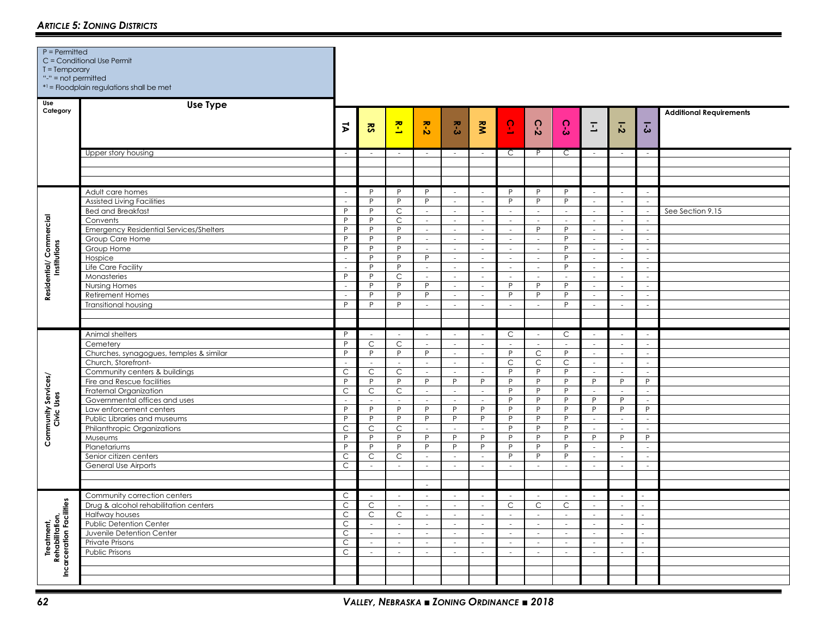| $T = Temporary$<br>"-" = not permitted                 | C = Conditional Use Permit<br>*1 = Floodplain regulations shall be met |                     |                         |                             |                          |                             |                             |                             |                             |                             |                             |                                      |                             |                                |
|--------------------------------------------------------|------------------------------------------------------------------------|---------------------|-------------------------|-----------------------------|--------------------------|-----------------------------|-----------------------------|-----------------------------|-----------------------------|-----------------------------|-----------------------------|--------------------------------------|-----------------------------|--------------------------------|
| Use<br>Category                                        | <b>Use Type</b>                                                        |                     |                         |                             |                          |                             |                             |                             |                             |                             |                             |                                      |                             | <b>Additional Requirements</b> |
|                                                        |                                                                        | $\vec{v}$           | $\overline{\mathbf{S}}$ | $\tilde{\mathbf{r}}$        | $R - 2$                  | $R - 3$                     | $\tilde{\mathbf{z}}$        | $\overline{6}$              | $\Omega$<br>ឆ់              | $\Omega$<br>ఉ               | Ξ                           | $\overline{\overline{\overline{6}}}$ | $\overline{3}$              |                                |
|                                                        | Upper story housing                                                    | $\sim$              | $\sim$                  | $\sim$                      | $\sim$                   | $\sim$                      | $\sim$                      | C                           |                             | C                           | $\sim$                      | $\overline{\phantom{a}}$             | $\sim$                      |                                |
|                                                        |                                                                        |                     |                         |                             |                          |                             |                             |                             |                             |                             |                             |                                      |                             |                                |
|                                                        |                                                                        |                     |                         |                             |                          |                             |                             |                             |                             |                             |                             |                                      |                             |                                |
|                                                        | Adult care homes                                                       | $\sim$              | P                       | P                           | P                        | $\sim$                      | $\sim$                      | P                           | P                           | P                           | $\sim$                      | $\sim$                               | $\sim$                      |                                |
|                                                        | <b>Assisted Living Facilities</b>                                      | $\sim$              | P                       | P                           | P                        | $\sim$                      | $\sim$                      | P                           | P                           | P                           | $\omega$                    | $\sim$                               | $\sim$                      |                                |
|                                                        | <b>Bed and Breakfast</b>                                               | P                   | P                       | $\overline{C}$              | $\sim$                   | $\sim$                      | $\sim$                      | $\omega$                    | $\omega$                    | $\mathcal{L}$               | $\omega$                    | $\sim$                               | $\sim$                      | See Section 9.15               |
|                                                        | Convents                                                               | P                   | P                       | C                           | $\sim$                   | $\sim$                      | $\sim$                      | $\sim$                      | $\sim$                      | $\sim$                      | $\sim$                      | $\omega$                             | $\sim$                      |                                |
| Residential/ Commercial<br>Institutions                | <b>Emergency Residential Services/Shelters</b>                         | P                   | P                       | P                           | $\overline{\phantom{a}}$ | $\sim$                      | $\mathcal{L}$               | $\omega$                    | P                           | P                           | $\mathcal{L}$               | $\omega$                             | $\mathcal{L}$               |                                |
|                                                        | Group Care Home                                                        | P                   | P                       | P                           | $\sim$                   | $\sim$                      | $\sim$                      | $\sim$                      | $\omega$                    | P                           | $\omega$                    | $\sim$                               | $\sim$                      |                                |
|                                                        | Group Home                                                             | P                   | $\mathsf{P}$            | P                           | $\sim$                   | $\sim$                      | $\sim$                      | $\sim$                      | $\sim$                      | P                           | $\sim$                      | $\sim$                               | $\sim$                      |                                |
|                                                        | Hospice                                                                | $\sim$              | P                       | P                           | P                        | $\sim$                      | $\omega$                    | $\mathcal{L}_{\mathcal{A}}$ | ÷.                          | P                           | $\mathcal{L}$               | $\omega$                             | $\sim$                      |                                |
|                                                        | Life Care Facility                                                     | $\sim$              | P                       | P                           | $\sim$                   | $\overline{\phantom{a}}$    | $\sim$                      | $\mathcal{L}_{\mathcal{A}}$ | $\mathcal{L}_{\mathcal{A}}$ | P                           | $\mathcal{L}_{\mathcal{A}}$ | $\sim$                               | $\mathcal{L}_{\mathcal{A}}$ |                                |
|                                                        | Monasteries                                                            | P                   | $\mathsf{P}$            | $\mathsf{C}$                | $\sim$                   | $\sim$                      | $\sim$                      | $\mathcal{L}^{\mathcal{A}}$ | $\mathcal{L}$               | $\sim$                      | $\sim$                      | $\sim$                               | $\sim$                      |                                |
|                                                        | <b>Nursing Homes</b>                                                   | $\sim$              | P                       | P                           | P                        | $\overline{\phantom{a}}$    | $\sim$                      | P                           | P                           | P                           | $\omega$                    | $\overline{\phantom{a}}$             | $\sim$                      |                                |
|                                                        | <b>Retirement Homes</b>                                                | $\sim$              | P                       | P                           | P                        | $\overline{\phantom{a}}$    | $\sim$                      | P                           | P                           | P                           | $\mathcal{L}_{\mathcal{A}}$ | $\sim$                               | $\mathcal{L}_{\mathcal{A}}$ |                                |
|                                                        | <b>Transitional housing</b>                                            | P                   | P                       | P                           | $\overline{\phantom{a}}$ | $\mathcal{L}_{\mathcal{A}}$ | $\sim$                      | ÷.                          | $\sim$                      | P                           | $\sim$                      | $\omega$                             | $\mathcal{L}_{\mathcal{A}}$ |                                |
|                                                        |                                                                        |                     |                         |                             |                          |                             |                             |                             |                             |                             |                             |                                      |                             |                                |
|                                                        |                                                                        |                     |                         |                             |                          |                             |                             |                             |                             |                             |                             |                                      |                             |                                |
|                                                        | Animal shelters                                                        | P                   | $\sim$                  | $\sim$                      | $\sim$                   | $\sim$                      | $\sim$                      | $\mathsf{C}$                | ×.                          | C                           | $\sim$                      | $\sim$                               | $\sim$                      |                                |
|                                                        | Cemetery                                                               | P                   | $\mathsf C$             | $\mathsf C$                 | $\sim$                   | $\sim$                      | $\sim$                      | $\sim$                      | $\sim$                      | $\sim$                      | $\sim$                      | $\sim$                               | $\sim$                      |                                |
|                                                        | Churches, synagogues, temples & similar                                | P                   | P                       | P                           | P                        | $\mathcal{L}_{\mathcal{A}}$ | $\sim$                      | $\overline{P}$              | $\mathsf{C}$                | P                           | $\sim$                      | $\sim$                               | $\sim$                      |                                |
|                                                        | Church, Storefront-                                                    | $\sim$              | $\sim$                  | $\sim$                      | $\sim$                   | $\mathcal{L}_{\mathcal{A}}$ | $\sim$                      | $\overline{C}$              | $\mathsf C$                 | $\mathsf C$                 | $\sim$                      | $\sim$                               | $\sim$                      |                                |
|                                                        | Community centers & buildings                                          | $\mathsf{C}$        | $\mathsf C$             | $\mathsf C$                 | $\sim$                   | ÷                           | $\mathcal{L}_{\mathcal{A}}$ | P                           | P                           | P                           | $\sim$                      | $\mathcal{L}^{\pm}$                  | ×.                          |                                |
| Community Services/<br>Civic Uses                      | Fire and Rescue facilities                                             | P<br>$\overline{C}$ | P<br>$\overline{C}$     | P<br>$\overline{C}$         | P                        | P                           | P<br>$\mathcal{L}$          | P<br>P                      | P<br>P                      | P<br>P                      | P                           | P                                    | P<br>$\mathcal{L}$          |                                |
|                                                        | Fraternal Organization                                                 | $\sim$              | $\sim$                  | $\sim$                      | $\sim$<br>$\mathcal{L}$  | $\mathcal{L}$<br>$\sim$     | $\sim$                      | P                           | P                           | P                           | $\omega$<br>P               | $\omega$<br>P                        | $\mathcal{L}$               |                                |
|                                                        | Governmental offices and uses<br>Law enforcement centers               | P                   | P                       | P                           | P                        | P                           | P                           | P                           | P                           | P                           | P                           | P                                    | P                           |                                |
|                                                        | Public Libraries and museums                                           | P                   | P                       | P                           | P                        | P                           | P                           | P                           | P                           | P                           | $\sim$                      | $\sim$                               | $\sim$                      |                                |
|                                                        | Philanthropic Organizations                                            | C                   | $\mathsf C$             | $\mathsf{C}$                | $\sim$                   | ÷.                          | $\sim$                      | P                           | P                           | P                           | $\sim$                      | $\sim$                               | $\mathcal{L}$               |                                |
|                                                        | Museums                                                                | P                   | P                       | P                           | P                        | P                           | P                           | P                           | P                           | P                           | P                           | P                                    | P                           |                                |
|                                                        | Planetariums                                                           | P                   | P                       | P                           | P                        | P                           | P                           | P                           | P                           | P                           | $\sim$                      | $\sim$                               | $\sim$                      |                                |
|                                                        | Senior citizen centers                                                 | $\mathsf C$         | $\mathsf C$             | $\mathsf{C}$                | $\mathcal{L}$            | $\sim$                      | $\sim$                      | P                           | P                           | P                           | $\omega$                    | $\sim$                               | $\omega$                    |                                |
|                                                        | General Use Airports                                                   | $\mathsf{C}$        | $\sim$                  | $\sim$                      | $\mathcal{L}$            | $\sim$                      | $\mathcal{L}$               | $\mathcal{L}$               | $\mathcal{L}$               | $\sim$                      | $\sim$                      | $\mathcal{L}$                        | i.                          |                                |
|                                                        |                                                                        |                     |                         |                             |                          |                             |                             |                             |                             |                             |                             |                                      |                             |                                |
|                                                        |                                                                        |                     |                         |                             | $\sim$                   |                             |                             |                             |                             |                             |                             |                                      |                             |                                |
|                                                        | Community correction centers                                           | $\mathsf{C}$        | $\sim$                  | $\sim$                      | $\sim$                   | $\sim$                      | $\sim$                      | $\sim$                      | ÷.                          | $\sim$                      | $\sim$                      | $\sim$                               | $\sim$                      |                                |
|                                                        | Drug & alcohol rehabilitation centers                                  | $\overline{C}$      | $\overline{C}$          | $\mathcal{L}_{\mathcal{A}}$ | $\sim$                   | $\sim$                      | $\mathcal{L}$               | $\overline{C}$              | $\mathsf C$                 | $\mathsf C$                 | $\sim$                      | $\overline{\phantom{a}}$             | $\mathcal{L}_{\mathcal{A}}$ |                                |
|                                                        | Halfway houses                                                         | $\mathsf C$         | $\mathsf C$             | $\mathsf C$                 | $\sim$                   | $\sim$                      | $\sim$                      | $\sim$                      | $\sim$                      | $\sim$                      | $\sim$                      | $\sim$                               | ÷.                          |                                |
| Treatment,<br>Rehabilitation,<br>arceration Facilities | Public Detention Center                                                | $\mathsf{C}$        | $\sim$                  | $\sim$                      | $\sim$                   | $\sim$                      | $\sim$                      | $\sim$                      | $\sim$                      | $\sim$                      | $\sim$                      | $\sim$                               | $\sim$                      |                                |
|                                                        | Juvenile Detention Center                                              | $\mathsf{C}$        | $\sim$                  | $\mathcal{L}_{\mathcal{A}}$ | $\sim$                   | $\sim$                      | $\mathcal{L}_{\mathcal{A}}$ | $\mathcal{L}_{\mathcal{A}}$ | $\mathcal{L}_{\mathcal{A}}$ | $\mathcal{L}_{\mathcal{A}}$ | $\sim$                      | $\overline{\phantom{a}}$             | $\mathcal{L}_{\mathcal{A}}$ |                                |
|                                                        | Private Prisons                                                        | $\mathsf C$         | $\sim$                  | $\sim$                      | $\sim$                   | $\sim$                      | $\sim$                      | $\sim$                      | $\sim$                      | $\mathcal{L}_{\mathcal{A}}$ | $\sim$                      | $\sim$                               | $\sim$                      |                                |
|                                                        | Public Prisons                                                         | $\mathsf{C}$        | $\sim$                  | $\sim$                      | $\sim$                   | $\sim$                      | $\sim$                      | $\sim$                      | $\sim$                      | $\sim$                      | $\sim$                      | $\sim$                               |                             |                                |
|                                                        |                                                                        |                     |                         |                             |                          |                             |                             |                             |                             |                             |                             |                                      |                             |                                |
| ě                                                      |                                                                        |                     |                         |                             |                          |                             |                             |                             |                             |                             |                             |                                      |                             |                                |
|                                                        |                                                                        |                     |                         |                             |                          |                             |                             |                             |                             |                             |                             |                                      |                             |                                |

## *ARTICLE 5: ZONING DISTRICTS*

P = Permitted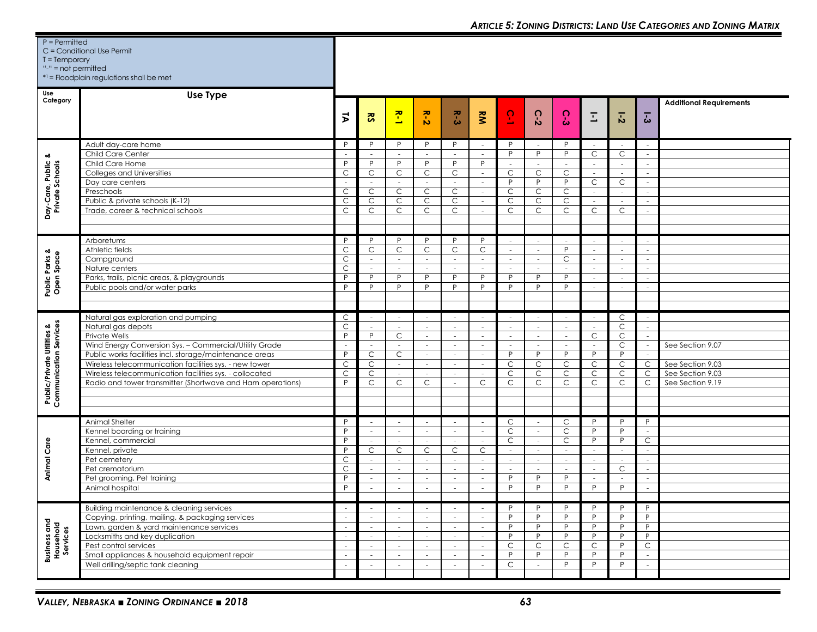| $P =$ Permitted<br>$T = Temporary$<br>"-" = $not$ permitted     | C = Conditional Use Permit<br>*1 = Floodplain regulations shall be met                                                                                                                                                                                                                                                                                                             |                                                                                                                                     |                                                                         |                                                                         |                                                                                           |                                                                              |                                                                                                             |                                                                                |                                                                                        |                                                                                                        |                                                                                     |                                                                                                      |                                                                                      |                                                                              |
|-----------------------------------------------------------------|------------------------------------------------------------------------------------------------------------------------------------------------------------------------------------------------------------------------------------------------------------------------------------------------------------------------------------------------------------------------------------|-------------------------------------------------------------------------------------------------------------------------------------|-------------------------------------------------------------------------|-------------------------------------------------------------------------|-------------------------------------------------------------------------------------------|------------------------------------------------------------------------------|-------------------------------------------------------------------------------------------------------------|--------------------------------------------------------------------------------|----------------------------------------------------------------------------------------|--------------------------------------------------------------------------------------------------------|-------------------------------------------------------------------------------------|------------------------------------------------------------------------------------------------------|--------------------------------------------------------------------------------------|------------------------------------------------------------------------------|
| Use<br>Category                                                 | Use Type                                                                                                                                                                                                                                                                                                                                                                           | ξ                                                                                                                                   | $\overline{\mathbf{S}}$                                                 | 준<br>$\rightarrow$                                                      | $\frac{1}{2}$                                                                             | $R - 3$                                                                      | kM                                                                                                          | $\overline{5}$                                                                 | $C-2$                                                                                  | C-3                                                                                                    | Ξ                                                                                   | $\overline{5}$                                                                                       | $\overline{5}$                                                                       | <b>Additional Requirements</b>                                               |
| త<br>Day-Care, Public &<br>Private Schools                      | Adult day-care home<br>Child Care Center<br>Child Care Home<br>Colleges and Universities<br>Day care centers<br>Preschools<br>Public & private schools (K-12)<br>Trade, career & technical schools                                                                                                                                                                                 | P<br>٠<br>P<br>$\mathsf{C}$<br>$\mathsf C$<br>$\mathsf{C}$<br>$\mathsf{C}$                                                          | P<br>$\sim$<br>P<br>C<br>C<br>C<br>C                                    | P<br>P<br>C<br>$\sim$<br>C<br>$\mathsf{C}$<br>C                         | P<br>$\overline{\phantom{a}}$<br>P<br>C<br>$\mathsf C$<br>$\mathsf C$<br>C                | P<br>$\sim$<br>P<br>$\mathsf{C}$<br>$\sim$<br>C<br>$\mathsf{C}$<br>C         | $\sim$<br>$\sim$<br>P<br>$\overline{\phantom{a}}$<br>$\sim$<br>$\overline{\phantom{a}}$<br>$\sim$<br>$\sim$ | P<br>P<br>$\sim$<br>$\mathsf{C}$<br>P<br>$\mathsf{C}$<br>$\mathsf{C}$<br>C     | P<br>$\sim$<br>$\mathsf C$<br>P<br>$\mathsf C$<br>$\mathsf{C}$<br>C                    | P<br>P<br>$\sim$<br>C<br>P<br>C<br>$\mathsf{C}$<br>C                                                   | $\sim$<br>C<br>$\sim$<br>$\sim$<br>$\mathsf{C}$<br>$\sim$<br>$\sim$<br>C            | C<br>$\overline{\phantom{a}}$<br>$\sim$<br>C<br>$\bar{a}$<br>C                                       | $\sim$<br>$\overline{\phantom{a}}$<br>$\sim$<br>$\sim$<br>$\sim$<br>$\sim$<br>$\sim$ |                                                                              |
| Public Parks &<br>Open Space                                    | Arboretums<br>Athletic fields<br>Campground<br>Nature centers<br>Parks, trails, picnic areas, & playgrounds<br>Public pools and/or water parks                                                                                                                                                                                                                                     | P<br>C<br>$\mathsf{C}$<br>$\mathsf C$<br>P<br>P                                                                                     | P<br>C<br>$\sim$<br>$\sim$<br>P<br>P                                    | P<br>$\mathsf C$<br>$\sim$<br>÷<br>P<br>P                               | P<br>C<br>$\sim$<br>$\sim$<br>P<br>P                                                      | P<br>$\mathsf C$<br>$\sim$<br>ra.<br>P<br>P                                  | P<br>C<br>$\sim$<br>$\sim$<br>P<br>P                                                                        | $\sim$<br>$\sim$<br>$\sim$<br>P<br>P                                           | $\sim$<br>$\sim$<br>$\sim$<br>P<br>P                                                   | - 11<br>P<br>C<br>$\sim$<br>P<br>P                                                                     | $\sim$<br>$\sim$<br>$\sim$<br>$\sim$<br>$\sim$<br>$\sim$                            | $\sim$<br>$\overline{\phantom{a}}$<br>$\sim$<br>$\overline{\phantom{a}}$<br>$\overline{\phantom{a}}$ | $\sim$<br>$\sim$<br>$\sim$<br>$\sim$<br>$\sim$<br>$\sim$                             |                                                                              |
| <b>Public/Private Utilities &amp;</b><br>Communication Services | Natural gas exploration and pumping<br>Natural gas depots<br>Private Wells<br>Wind Energy Conversion Sys. - Commercial/Utility Grade<br>Public works facilities incl. storage/maintenance areas<br>Wireless telecommunication facilities sys. - new tower<br>Wireless telecommunication facilities sys. - collocated<br>Radio and tower transmitter (Shortwave and Ham operations) | $\mathsf C$<br>$\mathsf{C}$<br>P<br>$\overline{\phantom{a}}$<br>P<br>C<br>$\mathsf C$<br>P                                          | $\sim$<br>$\sim$<br>P<br>$\sim$<br>C<br>C<br>$\mathsf{C}$<br>C          | $\sim$<br>$\sim$<br>C<br>$\sim$<br>C<br>$\sim$<br>$\sim$<br>C           | $\sim$<br>$\sim$<br>$\sim$<br>$\sim$<br>$\sim$<br>$\overline{\phantom{a}}$<br>$\sim$<br>C | $\sim$<br>$\sim$<br>$\sim$<br>$\sim$<br>$\sim$<br>$\sim$<br>$\sim$<br>$\sim$ | $\sim$<br>$\sim$<br>$\sim$<br>$\sim$<br>$\sim$<br>$\sim$<br>$\sim$<br>$\mathsf{C}$                          | $\sim$<br>$\sim$<br>$\sim$<br>$\sim$<br>P<br>C<br>$\mathsf{C}$<br>$\mathsf{C}$ | $\sim$<br>$\sim$<br>$\sim$<br>$\sim$<br>P<br>$\mathsf C$<br>$\mathsf C$<br>$\mathsf C$ | $\overline{\phantom{a}}$<br>$\overline{\phantom{a}}$<br>$\sim$<br>$\sim$<br>P<br>C<br>$\mathsf C$<br>C | $\sim$<br>$\sim$<br>$\mathsf{C}$<br>$\sim$<br>P<br>$\mathsf{C}$<br>$\mathsf C$<br>C | C<br>C<br>C<br>C<br>P.<br>C<br>$\mathsf{C}$<br>C                                                     | $\sim$<br>$\sim$<br>$\sim$<br>$\sim$<br>$\sim$<br>$\mathsf{C}$<br>$\mathsf{C}$<br>C  | See Section 9.07<br>See Section 9.03<br>See Section 9.03<br>See Section 9.19 |
| Animal Care                                                     | Animal Shelter<br>Kennel boarding or training<br>Kennel, commercial<br>Kennel, private<br>Pet cemetery<br>Pet crematorium<br>Pet grooming, Pet training<br>Animal hospital                                                                                                                                                                                                         | P<br>P<br>P<br>P<br>$\mathsf{C}$<br>$\mathsf{C}$<br>P<br>P                                                                          | $\sim$<br>$\sim$<br>$\sim$<br>C<br>$\sim$<br>$\sim$<br>$\sim$<br>$\sim$ | $\sim$<br>$\sim$<br>$\sim$<br>C<br>$\sim$<br>$\sim$<br>$\sim$<br>$\sim$ | $\sim$<br>$\sim$<br>$\sim$<br>С<br>$\sim$<br>$\sim$<br>$\sim$<br>$\sim$                   | $\sim$<br>$\sim$<br>$\sim$<br>C<br>$\sim$<br>$\sim$<br>$\sim$<br>$\sim$      | $\sim$<br>$\sim$<br>$\sim$<br>C<br>$\sim$<br>$\sim$<br>$\sim$<br>$\sim$                                     | $\mathsf{C}$<br>C<br>$\mathsf{C}$<br>$\sim$<br>$\sim$<br>$\sim$<br>P<br>P      | $\sim$<br>$\sim$<br>$\sim$<br>$\sim$<br>$\sim$<br>$\sim$<br>P<br>P                     | C<br>C<br>$\mathsf{C}$<br>$\sim$<br>$\sim$<br>$\sim$<br>P<br>P                                         | P<br>P<br>P<br>$\sim$<br>$\sim$<br>$\sim$<br>$\sim$<br>P                            | P<br>P<br>P<br>$\sim$<br>$\sim$<br>C<br>$\sim$<br>P.                                                 | P<br>$\sim$<br>$\mathsf{C}$<br>$\sim$<br>$\sim$<br>$\sim$<br>$\sim$                  |                                                                              |
| Business and<br>Household<br>Services                           | Building maintenance & cleaning services<br>Copying, printing, mailing, & packaging services<br>Lawn, garden & yard maintenance services<br>Locksmiths and key duplication<br>Pest control services<br>Small appliances & household equipment repair<br>Well drilling/septic tank cleaning                                                                                         | $\overline{\phantom{a}}$<br>$\sim$<br>$\overline{\phantom{a}}$<br>$\mathcal{L}_{\mathcal{A}}$<br>$\sim$<br>$\overline{\phantom{a}}$ | $\sim$<br>$\sim$<br>$\sim$<br>$\sim$<br>$\sim$<br>$\sim$                | $\sim$<br>$\sim$<br>$\sim$<br>$\sim$<br>$\sim$                          | $\sim$<br>$\sim$<br>$\sim$<br>$\sim$<br>$\sim$<br>$\sim$                                  | $\overline{\phantom{a}}$<br>$\sim$<br>$\sim$<br>$\sim$<br>$\sim$<br>$\sim$   | $\overline{\phantom{a}}$<br>$\sim$<br>$\sim$<br>$\sim$<br>$\sim$<br>$\sim$                                  | D<br>P<br>P<br>P<br>C<br>P<br>C                                                | P<br>P<br>P<br>P<br>$\mathsf C$<br>P<br>$\sim$                                         | P<br>P<br>P<br>P<br>C<br>P<br>P                                                                        | P<br>P<br>P<br>P<br>C<br>P<br>P                                                     | P<br>P<br>P<br>P<br>P<br>P<br>P                                                                      | P<br>P<br>P<br>P<br>$\mathsf{C}$<br>$\sim$<br>$\sim$                                 |                                                                              |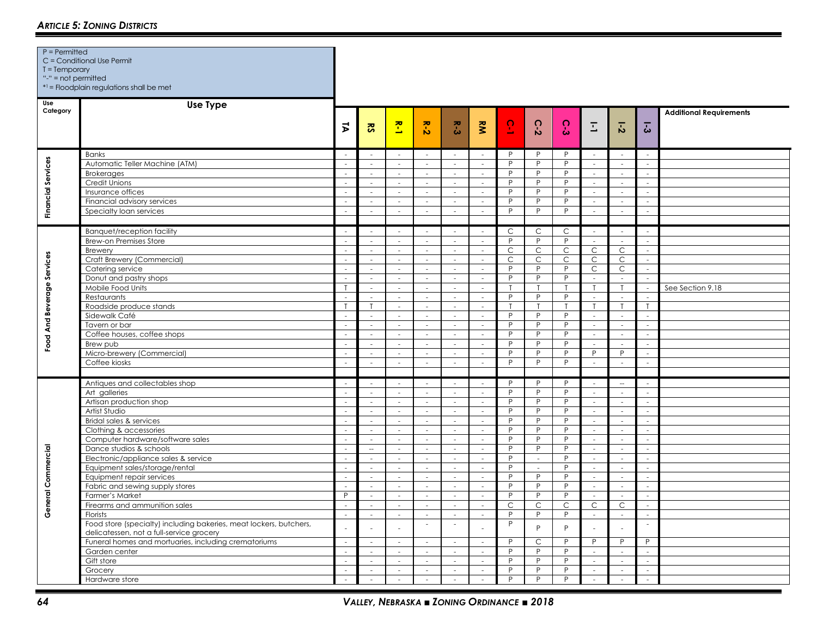| $T = Temporary$<br>"-" = not permitted | *1 = Floodplain regulations shall be met                                                                                                                                                                                                                                                                                                                                                                                                                                                                                                                                                                                                                        |                                                                                                                                                                                   |                                                                                                                                                                                                                                                   |                                                                                                                                                                                                   |                                                                                                                                                                                                                                            |                                                                                                                                                                                                                   |                                                                                                                                                                                                                                                                                          |                                                                                                                  |                                                                                                                             |                                                                                                                 |                                                                                                                                                                                                                                                            |                                                                                                                                                                                                                                                                                     |                                                                                                                                                                                                       |                                |
|----------------------------------------|-----------------------------------------------------------------------------------------------------------------------------------------------------------------------------------------------------------------------------------------------------------------------------------------------------------------------------------------------------------------------------------------------------------------------------------------------------------------------------------------------------------------------------------------------------------------------------------------------------------------------------------------------------------------|-----------------------------------------------------------------------------------------------------------------------------------------------------------------------------------|---------------------------------------------------------------------------------------------------------------------------------------------------------------------------------------------------------------------------------------------------|---------------------------------------------------------------------------------------------------------------------------------------------------------------------------------------------------|--------------------------------------------------------------------------------------------------------------------------------------------------------------------------------------------------------------------------------------------|-------------------------------------------------------------------------------------------------------------------------------------------------------------------------------------------------------------------|------------------------------------------------------------------------------------------------------------------------------------------------------------------------------------------------------------------------------------------------------------------------------------------|------------------------------------------------------------------------------------------------------------------|-----------------------------------------------------------------------------------------------------------------------------|-----------------------------------------------------------------------------------------------------------------|------------------------------------------------------------------------------------------------------------------------------------------------------------------------------------------------------------------------------------------------------------|-------------------------------------------------------------------------------------------------------------------------------------------------------------------------------------------------------------------------------------------------------------------------------------|-------------------------------------------------------------------------------------------------------------------------------------------------------------------------------------------------------|--------------------------------|
| Use<br>Category                        | <b>Use Type</b>                                                                                                                                                                                                                                                                                                                                                                                                                                                                                                                                                                                                                                                 | $\vec{v}$                                                                                                                                                                         | នី                                                                                                                                                                                                                                                | $\mathbf{z}$                                                                                                                                                                                      | $R - 2$                                                                                                                                                                                                                                    | R-3                                                                                                                                                                                                               | $\tilde{\mathbf{z}}$                                                                                                                                                                                                                                                                     | $\overline{5}$                                                                                                   | $\Omega$<br>$\mathbf{v}$                                                                                                    | $\Omega$<br>ώ                                                                                                   | $\overline{L}$                                                                                                                                                                                                                                             | $\overline{5}$                                                                                                                                                                                                                                                                      | $\overline{3}$                                                                                                                                                                                        | <b>Additional Requirements</b> |
| <b>Financial Services</b>              | <b>Banks</b><br>Automatic Teller Machine (ATM)<br><b>Brokerages</b><br><b>Credit Unions</b><br>Insurance offices<br>Financial advisory services<br>Specialty loan services                                                                                                                                                                                                                                                                                                                                                                                                                                                                                      | i a<br>$\overline{\phantom{a}}$<br>$\sim$<br>$\sim$<br>$\sim$<br>i a                                                                                                              | $\mathcal{L}_{\mathcal{A}}$<br>$\sim$<br>$\sim$<br>$\sim$<br>$\omega$<br>$\sim$<br>$\mathcal{L}$                                                                                                                                                  | $\sim$<br>$\sim$<br>$\mathcal{L}_{\mathcal{A}}$<br>$\sim$<br>$\sim$<br>$\sim$<br>$\mathcal{L}$                                                                                                    | ÷<br>$\sim$<br>$\overline{\phantom{a}}$<br>$\sim$<br>$\sim$<br>$\sim$<br>$\sim$                                                                                                                                                            | $\sim$<br>$\sim$<br>$\overline{\phantom{a}}$<br>$\sim$<br>$\sim$<br>$\sim$<br>$\sim$                                                                                                                              | $\sim$<br>$\sim$<br>$\sim$<br>$\sim$<br>$\omega$<br>$\sim$<br>$\sim$                                                                                                                                                                                                                     | P<br>P<br>P<br>P<br>P<br>P<br>P                                                                                  | P<br>P<br>P<br>P<br>P<br>P<br>P                                                                                             | P<br>P<br>P<br>P<br>P<br>P<br>P                                                                                 | $\sim$<br>$\sim$<br>$\sim$<br>$\sim$<br>$\sim$<br>$\sim$<br>$\sim$                                                                                                                                                                                         | $\sim$<br>$\sim$<br>$\sim$<br>$\sim$<br>$\omega$<br>$\sim$<br>$\sim$                                                                                                                                                                                                                | ÷<br>$\sim$<br>$\sim$<br>÷<br>$\sim$<br>÷                                                                                                                                                             |                                |
| Food And Beverage Services             | <b>Banquet/reception facility</b><br><b>Brew-on Premises Store</b><br>Brewery<br>Craft Brewery (Commercial)<br>Catering service<br>Donut and pastry shops<br>Mobile Food Units<br>Restaurants<br>Roadside produce stands<br>Sidewalk Café<br>Tavern or bar<br>Coffee houses, coffee shops<br>Brew pub<br>Micro-brewery (Commercial)<br>Coffee kiosks                                                                                                                                                                                                                                                                                                            | $\sim$<br>$\sim$<br>$\sim$<br>$\sim$<br>$\sim$<br>$\sim$<br>$\sim$<br>$\sim$<br>i.<br>$\sim$<br>i.<br>$\sim$<br>÷                                                                 | in 1999.<br>$\sim$<br>$\sim$<br>$\sim$<br>$\sim$<br>$\sim$<br>$\mathcal{L}$<br>$\sim$<br>$\mathsf{T}$<br>$\sim$<br>$\sim$<br>$\sim$<br>$\sim$<br>$\mathcal{L}_{\mathcal{A}}$<br>$\sim$                                                            | in 1999.<br>$\sim$<br>$\sim$<br>$\sim$<br>$\sim$<br>$\sim$<br>$\sim$<br>$\sim$<br>$\sim$<br>$\mathcal{L}$<br>$\sim$<br>$\sim$<br>$\sim$<br>$\omega$<br>$\sim$                                     | in 19<br>$\sim$<br>$\mathcal{L}$<br>$\sim$<br>$\sim$<br>$\sim$<br>$\overline{\phantom{a}}$<br>$\sim$<br>$\sim$<br>$\sim$<br>$\sim$<br>$\sim$<br>$\mathcal{L}$<br>$\overline{\phantom{a}}$<br>$\mathcal{L}$                                 | i.<br>$\sim$<br>$\mathcal{L}$<br>$\sim$<br>$\sim$<br>$\sim$<br>L.<br>$\mathcal{L}$<br>$\sim$<br>$\sim$<br>$\sim$<br>$\sim$<br>i.<br>$\overline{\phantom{a}}$<br>$\mathcal{L}_{\mathcal{A}}$                       | $\sim$<br>$\sim$<br>$\sim$<br>$\mathcal{L}$<br>$\sim$<br>$\sim$<br>$\sim$<br>$\sim$<br>$\sim$<br>$\sim$<br>$\mathcal{L}$<br>$\sim$<br>$\sim$<br>$\mathcal{L}$<br>$\mathcal{L}$                                                                                                           | $\mathsf{C}$<br>P<br>$\overline{C}$<br>$\mathsf{C}$<br>P<br>P<br>P<br>P<br>P<br>P<br>P<br>$\overline{P}$<br>P    | $\mathsf C$<br>P<br>$\mathsf{C}$<br>$\mathsf C$<br>P<br>P<br>P<br>P<br>P<br>P<br>P<br>P<br>P                                | $\mathsf{C}$<br>P<br>$\mathsf C$<br>$\mathsf C$<br>P<br>P<br>T<br>P<br>т<br>P<br>P<br>P<br>P<br>P<br>P          | i.<br>$\sim$<br>$\mathsf{C}$<br>$\mathsf{C}$<br>$\mathsf{C}$<br>$\sim$<br>$\mathsf{T}$<br>$\omega$<br>$\mathsf{T}$<br>$\sim$<br>$\sim$<br>$\sim$<br>i.<br>P<br>$\mathcal{L}$                                                                               | $\mathcal{L}_{\mathcal{A}}$<br>$\sim$<br>$\overline{C}$<br>$\mathsf{C}$<br>$\mathsf{C}$<br>$\sim$<br>$\mathsf{T}$<br>$\sim$<br>$\mathsf{T}$<br>$\omega$<br>$\mathcal{L}^{\mathcal{L}}$<br>$\sim$<br>$\omega$<br>$\overline{P}$<br>$\omega$                                          | $\sim$<br>$\sim$<br>$\sim$<br>$\sim$<br>$\sim$<br>$\sim$<br>n.<br>$\sim$<br>i.<br>$\sim$<br>$\sim$<br>$\sim$<br>i.                                                                                    | See Section 9.18               |
| General Commercial                     | Antiques and collectables shop<br>Art galleries<br>Artisan production shop<br>Artist Studio<br>Bridal sales & services<br>Clothing & accessories<br>Computer hardware/software sales<br>Dance studios & schools<br>Electronic/appliance sales & service<br>Equipment sales/storage/rental<br>Equipment repair services<br>Fabric and sewing supply stores<br>Farmer's Market<br>Firearms and ammunition sales<br>Florists<br>Food store (specialty) including bakeries, meat lockers, butchers,<br>delicatessen, not a full-service grocery<br>Funeral homes and mortuaries, including crematoriums<br>Garden center<br>Gift store<br>Grocery<br>Hardware store | $\sim$<br>i a<br>$\sim$<br>$\sim$<br>$\sim$<br>$\sim$<br>i a<br>$\sim$<br>$\sim$<br>$\sim$<br>$\sim$<br>$\mathsf{P}$<br>$\sim$<br>$\sim$<br>$\sim$<br>÷<br>i.<br>$\sim$<br>$\sim$ | $\sim$<br>$\sim$<br>$\mathcal{L}_{\mathcal{A}}$<br>$\sim$<br>$\sim$<br>$\sim$<br>$\sim$<br>$\overline{\phantom{a}}$<br>$\sim$<br>L,<br>$\sim$<br>$\sim$<br>$\sim$<br>$\sim$<br>$\sim$<br>$\sim$<br>$\sim$<br>$\sim$<br>$\sim$<br>$\sim$<br>$\sim$ | $\sim$<br>$\sim$<br>÷.<br>$\sim$<br>$\sim$<br>$\sim$<br>$\sim$<br>$\sim$<br>$\sim$<br>÷,<br>$\sim$<br>$\sim$<br>$\sim$<br>$\sim$<br>$\sim$<br>٠<br>$\sim$<br>$\sim$<br>$\sim$<br>$\sim$<br>$\sim$ | $\sim$<br>÷.<br>$\sim$<br>$\sim$<br>$\overline{\phantom{a}}$<br>$\sim$<br>$\sim$<br>$\sim$<br>$\sim$<br>÷,<br>$\sim$<br>$\sim$<br>$\overline{\phantom{a}}$<br>$\sim$<br>$\sim$<br>$\sim$<br>$\sim$<br>$\sim$<br>$\sim$<br>$\sim$<br>$\sim$ | $\sim$<br>$\sim$<br>L.<br>$\sim$<br>$\sim$<br>$\sim$<br>$\sim$<br>$\sim$<br>$\sim$<br>$\sim$<br>$\sim$<br>$\sim$<br>$\sim$<br>$\sim$<br>$\sim$<br>$\sim$<br>$\sim$<br>i.<br>$\mathcal{L}^{\mathcal{L}}$<br>$\sim$ | $\sim$<br>$\sim$<br>$\sim$<br>$\sim$<br>$\sim$<br>$\sim$<br>$\mathcal{L}$<br>$\sim$<br>$\sim$<br>$\mathcal{L}$<br>$\sim$<br>$\sim$<br>$\mathcal{L}_{\mathcal{A}}$<br>$\sim$<br>$\sim$<br>$\mathcal{L}_{\mathcal{A}}$<br>$\mathcal{L}_{\mathcal{A}}$<br>$\mathcal{L}$<br>$\sim$<br>$\sim$ | P<br>P<br>P<br>P<br>P<br>P<br>P<br>P<br>P<br>P<br>P<br>P<br>P<br>$\mathsf{C}$<br>P<br>P<br>P<br>P<br>P<br>P<br>P | P<br>P<br>P<br>P<br>P<br>P<br>P<br>P<br>$\sim$<br>P<br>P<br>P<br>$\mathsf{C}$<br>P<br>P<br>$\mathsf{C}$<br>P<br>P<br>P<br>P | P<br>P<br>P<br>P<br>P<br>P<br>P<br>P<br>P<br>P<br>P<br>P<br>P<br>$\mathsf C$<br>P<br>P<br>P<br>P<br>P<br>P<br>P | $\sim$<br>$\sim$<br>$\sim$<br>$\sim$<br>$\sim$<br>$\sim$<br>$\mathcal{L}$<br>$\sim$<br>$\sim$<br>$\mathcal{L}$<br>$\sim$<br>$\sim$<br>$\sim$<br>C<br>$\mathcal{L}_{\mathcal{A}}$<br>$\sim$<br>P<br>$\sim$<br>i.<br>$\omega$<br>$\mathcal{L}_{\mathcal{A}}$ | $\overline{\phantom{a}}$<br>$\mathcal{L}^{\mathcal{L}}$<br>$\sim$<br>$\sim$<br>$\sim$<br>$\omega$<br>$\omega$<br>$\sim$<br>$\sim$<br>$\omega$<br>$\sim$<br>$\sim$<br>$\sim$<br>C<br>$\sim$<br>P<br>$\mathcal{L}_{\mathcal{A}}$<br>$\mathcal{L}^{\mathcal{L}}$<br>$\omega$<br>$\sim$ | $\sim$<br>$\sim$<br>$\sim$<br>$\overline{\phantom{a}}$<br>$\sim$<br>÷<br>$\sim$<br>$\sim$<br>$\sim$<br>$\sim$<br>$\sim$<br>$\sim$<br>$\sim$<br>$\sim$<br>P<br>$\sim$<br>i.<br>$\mathcal{L}$<br>$\sim$ |                                |

## *ARTICLE 5: ZONING DISTRICTS*

C = Conditional Use Permit

P = Permitted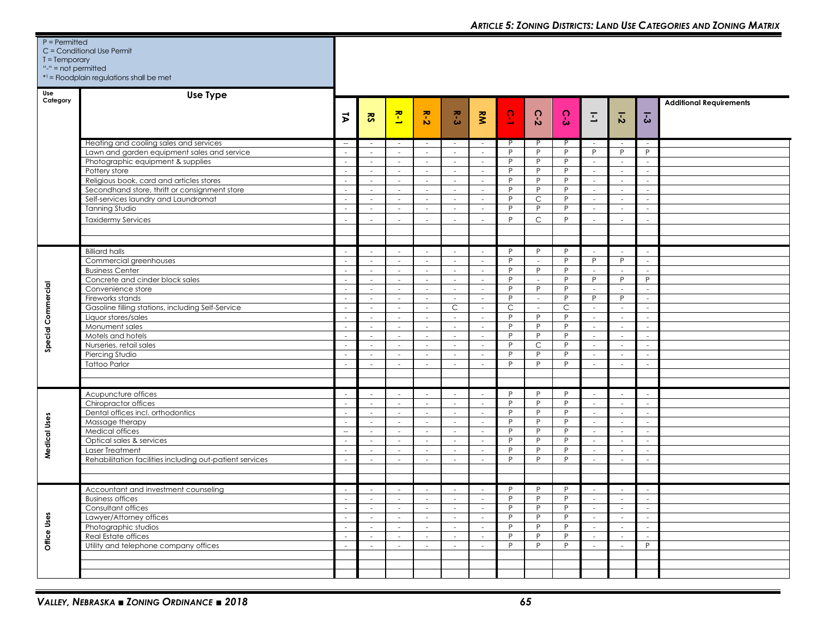| $P =$ Permitted     | C = Conditional Use Permit                               |                          |                         |                  |                                                      |                  |                             |                          |                          |              |                             |                             |                          |                                |
|---------------------|----------------------------------------------------------|--------------------------|-------------------------|------------------|------------------------------------------------------|------------------|-----------------------------|--------------------------|--------------------------|--------------|-----------------------------|-----------------------------|--------------------------|--------------------------------|
| $T = Temporary$     |                                                          |                          |                         |                  |                                                      |                  |                             |                          |                          |              |                             |                             |                          |                                |
| "-" = not permitted |                                                          |                          |                         |                  |                                                      |                  |                             |                          |                          |              |                             |                             |                          |                                |
|                     | *1 = Floodplain regulations shall be met                 |                          |                         |                  |                                                      |                  |                             |                          |                          |              |                             |                             |                          |                                |
| Use                 | Use Type                                                 |                          |                         |                  |                                                      |                  |                             |                          |                          |              |                             |                             |                          |                                |
| Category            |                                                          |                          |                         |                  |                                                      |                  |                             |                          |                          |              |                             |                             |                          | <b>Additional Requirements</b> |
|                     |                                                          |                          |                         |                  |                                                      |                  |                             | $\Omega$                 |                          | $\Omega$     |                             |                             |                          |                                |
|                     |                                                          | $\vec{v}$                | $\overline{\mathbf{S}}$ | $\mathbf{r}$     | $R - 2$                                              | $R - 3$          | RM                          | $\overline{\phantom{a}}$ | $C - 2$                  | ఓ            | $\overline{\mathbb{L}}$     | $\overline{5}$              | $\overline{5}$           |                                |
|                     |                                                          |                          |                         |                  |                                                      |                  |                             |                          |                          |              |                             |                             |                          |                                |
|                     | Heating and cooling sales and services                   | $\overline{\phantom{a}}$ |                         |                  |                                                      | $\sim$           | $\sim$                      | P                        | P                        | P            |                             |                             | $\overline{\phantom{a}}$ |                                |
|                     | Lawn and garden equipment sales and service              | $\sim$                   | $\sim$                  | $\sim$           | $\sim$                                               | $\sim$           | $\sim$                      | P                        | P                        | P            | P                           | P                           | P                        |                                |
|                     | Photographic equipment & supplies                        | $\overline{\phantom{a}}$ | $\sim$                  | $\sim$           | $\sim$                                               | $\sim$           | $\sim$                      | P                        | P                        | P            | $\sim$                      | $\sim$                      | ÷.                       |                                |
|                     | Pottery store                                            | $\sim$                   | $\sim$                  | $\sim$           | $\sim$                                               | $\sim$           | $\sim$                      | P                        | P                        | P            | $\sim$                      | $\sim$                      | $\sim$                   |                                |
|                     | Religious book, card and articles stores                 | $\sim$                   | $\sim$                  | $\sim$           | $\sim$                                               | $\sim$           | $\sim$                      | P                        | P                        | P            | $\sim$                      | $\sim$                      | $\sim$                   |                                |
|                     | Secondhand store, thrift or consignment store            | $\sim$                   | $\sim$                  | $\sim$           | $\sim$                                               | $\sim$           | $\sim$                      | P                        | P                        | P            | $\sim$                      | $\mathcal{L}^{\mathcal{L}}$ | $\sim$                   |                                |
|                     | Self-services laundry and Laundromat                     | $\sim$                   | $\sim$                  | $\sim$           | $\sim$                                               | $\sim$           | $\sim$                      | P                        | $\mathsf C$              | P            | $\sim$                      | $\mathcal{L}^{\mathcal{L}}$ | $\sim$                   |                                |
|                     | <b>Tanning Studio</b>                                    | $\sim$                   | $\sim$                  | $\sim$           | $\sim$                                               | $\sim$           | $\sim$                      | P                        | P                        | P            | $\sim$                      | $\sim$                      | $\sim$                   |                                |
|                     | <b>Taxidermy Services</b>                                |                          |                         |                  |                                                      |                  | $\sim$                      | P                        | $\mathsf{C}$             | $\mathsf{P}$ | ä,                          | ٠                           |                          |                                |
|                     |                                                          |                          |                         |                  |                                                      |                  |                             |                          |                          |              |                             |                             |                          |                                |
|                     |                                                          |                          |                         |                  |                                                      |                  |                             |                          |                          |              |                             |                             |                          |                                |
|                     | <b>Billiard halls</b>                                    | $\sim$                   | $\sim$                  |                  | $\sim$                                               | $\sim$           | $\sim$                      | P                        | P                        | P            | $\sim$                      |                             | $\sim$                   |                                |
|                     | Commercial greenhouses                                   | $\sim$                   | $\sim$                  | $\sim$           | $\sim$                                               | $\sim$           | $\sim$                      | P                        | $\sim$                   | P            | P                           | P                           | $\sim$                   |                                |
|                     | <b>Business Center</b>                                   | $\sim$                   | $\sim$                  | $\sim$           | $\sim$                                               | $\sim$           | $\sim$                      | P                        | P                        | P            | $\sim$                      | $\sim$                      | $\sim$                   |                                |
|                     | Concrete and cinder block sales                          | $\sim$                   | $\sim$                  | $\sim$           | $\sim$                                               | $\sim$           | $\sim$                      | P                        | $\sim$                   | P            | P                           | P                           | P                        |                                |
| Special Commercial  | Convenience store                                        | $\overline{\phantom{a}}$ | $\sim$                  | $\sim$           | $\sim$                                               | $\sim$           | $\sim$                      | P                        | P                        | P            | $\sim$                      | $\overline{\phantom{a}}$    | $\sim$                   |                                |
|                     | Fireworks stands                                         | $\overline{\phantom{a}}$ | $\sim$                  | $\sim$           | $\sim$                                               | $\sim$           | $\sim$                      | P                        | $\overline{\phantom{a}}$ | P            | P                           | P                           | $\sim$                   |                                |
|                     | Gasoline filling stations, including Self-Service        | $\sim$                   | $\sim$                  | $\sim$           | $\sim$                                               | C                | $\sim$                      | C<br>P                   | $\sim$<br>P              | C<br>P       | $\sim$                      | $\overline{\phantom{a}}$    | $\sim$                   |                                |
|                     | Liquor stores/sales<br>Monument sales                    | ÷.<br>$\sim$             | $\sim$<br>$\sim$        | $\sim$<br>$\sim$ | $\overline{\phantom{a}}$<br>$\overline{\phantom{a}}$ | $\sim$<br>$\sim$ | $\sim$<br>$\sim$            | P                        | P                        | P            | $\sim$<br>$\sim$            | $\sim$<br>$\sim$            | $\sim$<br>$\sim$         |                                |
|                     | Motels and hotels                                        | $\sim$                   | $\sim$                  | $\sim$           |                                                      | $\sim$           | $\sim$                      | P                        | P                        | P            | $\sim$                      | $\overline{\phantom{a}}$    | ÷,                       |                                |
|                     | Nurseries, retail sales                                  | $\sim$                   | $\sim$                  | $\sim$           |                                                      | $\sim$           | $\sim$                      | P                        | C                        | P            | $\sim$                      | $\sim$                      | $\sim$                   |                                |
|                     | Piercing Studio                                          | ÷.                       | $\sim$                  | $\sim$           |                                                      | $\sim$           | $\mathcal{L}_{\mathcal{A}}$ | P                        | P                        | P            | $\mathcal{L}_{\mathcal{A}}$ | $\sim$                      | $\overline{a}$           |                                |
|                     | <b>Tattoo Parlor</b>                                     | $\sim$                   | $\sim$                  |                  |                                                      | $\sim$           | $\sim$                      | P                        | P                        | P            | $\sim$                      | ÷.                          | ÷.                       |                                |
|                     |                                                          |                          |                         |                  |                                                      |                  |                             |                          |                          |              |                             |                             |                          |                                |
|                     |                                                          |                          |                         |                  |                                                      |                  |                             |                          |                          |              |                             |                             |                          |                                |
|                     | Acupuncture offices                                      | $\sim$                   | $\sim$                  |                  | $\sim$                                               | $\sim$           | $\sim$                      | P                        | P                        | P            | $\sim$                      | $\sim$                      | $\sim$                   |                                |
|                     | Chiropractor offices                                     | $\sim$                   | $\sim$                  | $\sim$           | $\sim$                                               | $\sim$           | $\sim$                      | P                        | P                        | P            | $\sim$                      | $\sim$                      | $\sim$                   |                                |
|                     | Dental offices incl. orthodontics                        | $\sim$                   | $\sim$                  | $\sim$           | $\sim$                                               | $\sim$           | $\sim$                      | P                        | P                        | P            | $\sim$                      | $\sim$                      | $\sim$                   |                                |
|                     | Massage therapy                                          | $\sim$                   | $\sim$                  | $\sim$           | $\sim$                                               | $\sim$           | $\sim$                      | P                        | P                        | P            | $\sim$                      | $\mathcal{L}^{\mathcal{L}}$ | $\sim$                   |                                |
|                     | Medical offices                                          | $\hspace{0.05cm} -$      | $\sim$                  | $\sim$           | $\sim$                                               | $\sim$           | $\sim$                      | P                        | $\mathsf{P}$             | P            | $\sim$                      | $\sim$                      | $\overline{\phantom{a}}$ |                                |
|                     | Optical sales & services                                 | $\sim$                   | $\sim$                  | $\sim$           | $\sim$                                               | $\sim$           | $\sim$                      | P                        | P                        | P            | $\sim$                      | $\sim$                      | $\sim$                   |                                |
| Medical Uses        | Laser Treatment                                          | $\sim$                   | $\sim$                  | $\sim$           | $\sim$                                               | $\sim$           | $\sim$                      | P<br>P                   | P<br>P                   | P<br>P       | $\sim$                      | $\sim$                      | $\sim$                   |                                |
|                     | Rehabilitation facilities including out-patient services | ÷.                       | $\sim$                  | $\sim$           | $\sim$                                               | $\sim$           | $\sim$                      |                          |                          |              | $\sim$                      | $\sim$                      | ÷.                       |                                |
|                     |                                                          |                          |                         |                  |                                                      |                  |                             |                          |                          |              |                             |                             |                          |                                |
|                     |                                                          |                          |                         |                  |                                                      | $\sim$           | $\sim$                      | P                        | P                        | P            |                             | ÷                           | ÷.                       |                                |
|                     | Accountant and investment counseling                     | $\sim$                   | $\sim$                  | $\sim$           | $\sim$                                               | $\sim$           | $\sim$                      | P.                       | P                        | P            | $\sim$                      | $\overline{\phantom{a}}$    |                          |                                |
|                     | Business offices<br>Consultant offices                   | ÷.                       | $\sim$                  | $\sim$           | $\sim$                                               | $\sim$           | $\sim$                      | P                        | P                        | P            | $\sim$                      | $\sim$                      | $\sim$                   |                                |
|                     | Lawyer/Attorney offices                                  | $\sim$                   | $\sim$                  | $\sim$           | $\sim$                                               | $\sim$           | $\sim$                      | P                        | P                        | P            | $\sim$                      | $\sim$                      |                          |                                |
|                     | Photographic studios                                     | $\sim$                   | $\sim$                  | $\sim$           | $\sim$                                               | $\sim$           | $\sim$                      | P                        | P                        | P            | $\sim$                      | $\sim$                      | ÷.                       |                                |
| Office Uses         | Real Estate offices                                      | $\sim$                   | $\sim$                  | $\sim$           | $\sim$                                               | $\sim$           | $\sim$                      | P                        | P                        | P            | $\sim$                      | $\sim$                      | $\sim$                   |                                |
|                     | Utility and telephone company offices                    | $\sim$                   | $\sim$                  | $\sim$           | $\sim$                                               | $\sim$           | $\sim$                      | P                        | P                        | P            | $\sim$                      | $\sim$                      | P                        |                                |
|                     |                                                          |                          |                         |                  |                                                      |                  |                             |                          |                          |              |                             |                             |                          |                                |
|                     |                                                          |                          |                         |                  |                                                      |                  |                             |                          |                          |              |                             |                             |                          |                                |
|                     |                                                          |                          |                         |                  |                                                      |                  |                             |                          |                          |              |                             |                             |                          |                                |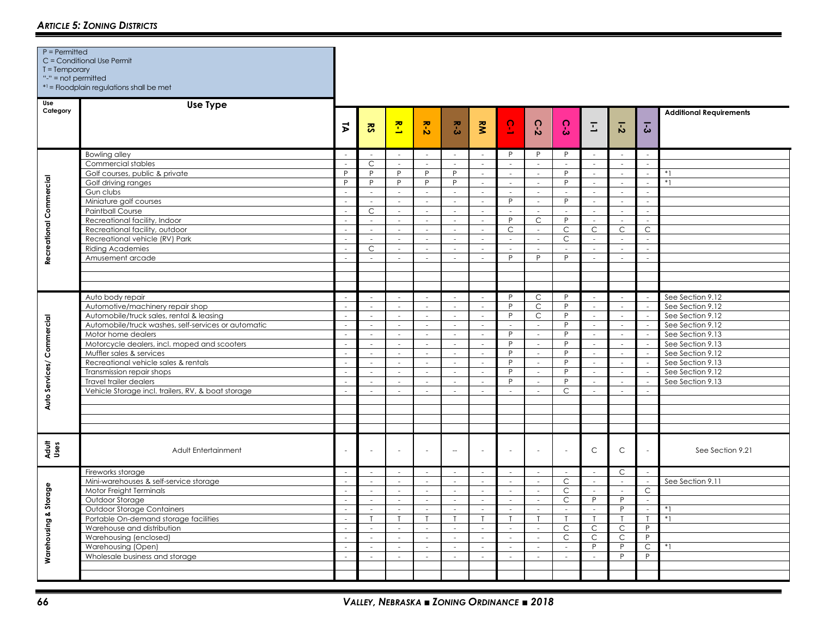| $T = Temporary$<br>"-" = $not$ permitted | C = Conditional Use Permit<br>*1 = Floodplain regulations shall be met                                                                                                                                                                                                                                                                                                                                         |                                                                                                                   |                                                                                                                                 |                                                                                                                                              |                                                                                                                                                                                                      |                                                                                                                                            |                                                                                                                                                 |                                                                                                                                                 |                                                                                                                                                                      |                                                                                                                                                             |                                                                                                                                                                                         |                                                                                                                                                                                                                                                        |                                                                                                    |                                                                                                                                                                                                      |
|------------------------------------------|----------------------------------------------------------------------------------------------------------------------------------------------------------------------------------------------------------------------------------------------------------------------------------------------------------------------------------------------------------------------------------------------------------------|-------------------------------------------------------------------------------------------------------------------|---------------------------------------------------------------------------------------------------------------------------------|----------------------------------------------------------------------------------------------------------------------------------------------|------------------------------------------------------------------------------------------------------------------------------------------------------------------------------------------------------|--------------------------------------------------------------------------------------------------------------------------------------------|-------------------------------------------------------------------------------------------------------------------------------------------------|-------------------------------------------------------------------------------------------------------------------------------------------------|----------------------------------------------------------------------------------------------------------------------------------------------------------------------|-------------------------------------------------------------------------------------------------------------------------------------------------------------|-----------------------------------------------------------------------------------------------------------------------------------------------------------------------------------------|--------------------------------------------------------------------------------------------------------------------------------------------------------------------------------------------------------------------------------------------------------|----------------------------------------------------------------------------------------------------|------------------------------------------------------------------------------------------------------------------------------------------------------------------------------------------------------|
| Use<br>Category                          | <b>Use Type</b>                                                                                                                                                                                                                                                                                                                                                                                                | $\vec{v}$                                                                                                         | <b>RS</b>                                                                                                                       | $\mathbf{r}$                                                                                                                                 | $R - 2$                                                                                                                                                                                              | κ.<br>δ                                                                                                                                    | Š                                                                                                                                               | $\overline{6}$                                                                                                                                  | $\Omega$<br>$\mathbf{v}$                                                                                                                                             | $\Omega$<br>မ်                                                                                                                                              | $\overline{\mathbb{L}}$                                                                                                                                                                 | $\overline{5}$                                                                                                                                                                                                                                         | $\overline{3}$                                                                                     | <b>Additional Requirements</b>                                                                                                                                                                       |
| Recreational Commercial                  | <b>Bowling alley</b><br>Commercial stables<br>Golf courses, public & private<br>Golf driving ranges<br>Gun clubs<br>Miniature golf courses<br><b>Paintball Course</b><br>Recreational facility, Indoor<br>Recreational facility, outdoor<br>Recreational vehicle (RV) Park<br><b>Riding Academies</b><br>Amusement arcade                                                                                      | $\overline{\phantom{a}}$<br>P<br>P<br>$\sim$<br>$\sim$<br>$\sim$<br>$\sim$<br>÷<br>$\sim$<br>$\sim$               | $\overline{C}$<br>P<br>P<br>$\sim$<br>$\mathcal{L}$<br>$\mathsf C$<br>$\sim$<br>$\sim$<br>$\sim$<br>$\mathsf{C}$<br>$\sim$      | $\sim$<br>$\sim$<br>P<br>P<br>$\sim$<br>÷.<br>$\mathcal{L}_{\mathcal{A}}$<br>$\sim$<br>$\omega$<br>$\mathcal{L}$<br>$\sim$<br>$\overline{a}$ | $\sim$<br>$\mathcal{L}$<br>P<br>$\mathsf{P}$<br>$\sim$<br>$\overline{\phantom{a}}$<br>$\overline{\phantom{a}}$<br>$\sim$<br>$\overline{\phantom{a}}$<br>$\sim$<br>$\sim$<br>$\overline{\phantom{a}}$ | $\sim$<br>$\sim$<br>P<br>P<br>$\sim$<br>÷.<br>$\mathcal{L}_{\mathcal{A}}$<br>$\sim$<br>÷.<br>$\sim$<br>$\sim$<br>$\overline{\phantom{a}}$  | $\sim$<br>$\mathcal{L}^{\mathcal{L}}$<br>$\sim$<br>$\sim$<br>$\sim$<br>$\omega$<br>$\sim$<br>$\sim$<br>$\sim$<br>$\omega$<br>$\sim$<br>$\omega$ | P<br>$\mathcal{L}$<br>$\sim$<br>$\sim$<br>$\sim$<br>P<br>$\overline{\phantom{a}}$<br>P<br>C<br>$\sim$<br>$\sim$<br>P                            | P<br>$\sim$<br>$\mathcal{L}_{\mathcal{A}}$<br>$\overline{\phantom{a}}$<br>$\sim$<br>$\sim$<br>$\overline{\phantom{a}}$<br>$\mathsf C$<br>$\sim$<br>÷,<br>$\sim$<br>P | P<br>$\omega$<br>P<br>P<br>$\mathcal{L}$<br>P<br>$\overline{\phantom{a}}$<br>P<br>C<br>$\mathsf{C}$<br>$\sim$<br>P                                          | $\sim$<br>$\omega$<br>$\omega$<br>$\overline{\phantom{a}}$<br>$\sim$<br>$\mathcal{L}_{\mathcal{A}}$<br>$\overline{\phantom{a}}$<br>$\sim$<br>$\mathsf{C}$<br>$\sim$<br>$\sim$<br>$\sim$ | $\sim$<br>$\omega$<br>$\sim$<br>$\overline{\phantom{a}}$<br>$\mathcal{L}^{\mathcal{L}}$<br>$\omega$<br>$\overline{\phantom{a}}$<br>$\sim$<br>$\mathsf{C}$<br>$\mathcal{L}_{\mathcal{A}}$<br>$\mathcal{L}_{\mathcal{A}}$<br>$\mathcal{L}_{\mathcal{A}}$ | $\sim$<br>÷<br>$\sim$<br>$\sim$<br>$\sim$<br>$\mathcal{L}_{\mathcal{A}}$<br>$\mathsf{C}$<br>$\sim$ | $*1$<br>$*1$                                                                                                                                                                                         |
| Auto Services/ Commercial                | Auto body repair<br>Automotive/machinery repair shop<br>Automobile/truck sales, rental & leasing<br>Automobile/truck washes, self-services or automatic<br>Motor home dealers<br>Motorcycle dealers, incl. moped and scooters<br>Muffler sales & services<br>Recreational vehicle sales & rentals<br>Transmission repair shops<br>Travel trailer dealers<br>Vehicle Storage incl. trailers, RV, & boat storage | $\sim$<br>$\sim$<br>$\sim$<br>$\sim$<br>$\mathcal{L}_{\mathcal{A}}$<br>$\sim$<br>$\sim$<br>$\sim$<br>i.<br>$\sim$ | i.<br>$\sim$<br>$\mathcal{L}$<br>$\sim$<br>$\sim$<br>$\mathcal{L}$<br>$\sim$<br>$\sim$<br>$\omega$<br>$\sim$<br>$\sim$          | i.<br>$\sim$<br>$\sim$<br>$\sim$<br>$\sim$<br>$\sim$<br>$\sim$<br>$\sim$<br>$\omega$<br>$\sim$<br>$\sim$                                     | ÷.<br>$\sim$<br>$\sim$<br>$\mathcal{L}$<br>$\sim$<br>$\sim$<br>$\sim$<br>$\sim$<br>$\overline{\phantom{a}}$<br>$\sim$<br>$\overline{\phantom{a}}$                                                    | ÷.<br>$\sim$<br>$\overline{\phantom{a}}$<br>$\sim$<br>$\sim$<br>$\sim$<br>$\sim$<br>$\sim$<br>$\overline{\phantom{a}}$<br>$\sim$<br>$\sim$ | $\sim$<br>$\sim$<br>$\mathcal{L}$<br>$\sim$<br>$\sim$<br>$\sim$<br>$\sim$<br>$\sim$<br>$\sim$<br>$\mathcal{L}_{\mathcal{A}}$<br>$\sim$          | P<br>P<br>$\overline{P}$<br>$\omega$<br>P.<br>P<br>P<br>P<br>P<br>P<br>$\sim$                                                                   | $\mathsf C$<br>$\mathsf C$<br>$\mathsf{C}$<br>$\mathcal{L}$<br>$\mathcal{L}_{\mathcal{A}}$<br>$\sim$<br>$\sim$<br>$\sim$<br>$\sim$<br>$\sim$<br>$\sim$               | P<br>P<br>P<br>P<br>P<br>P<br>P<br>P<br>P<br>P<br>C                                                                                                         | i.<br>$\sim$<br>$\mathcal{L}$<br>$\omega$<br>$\overline{\phantom{a}}$<br>$\sim$<br>$\sim$<br>$\overline{\phantom{a}}$<br>$\omega$<br>$\sim$<br>$\sim$                                   | $\sim$<br>$\sim$<br>$\sim$<br>$\sim$<br>$\mathcal{L}_{\mathcal{A}}$<br>$\overline{\phantom{a}}$<br>$\sim$<br>$\sim$<br>$\overline{\phantom{a}}$<br>$\omega$<br>$\sim$                                                                                  | $\sim$<br>$\sim$<br>$\sim$<br>$\sim$<br>$\sim$<br>$\sim$<br>$\sim$<br>÷.                           | See Section 9.12<br>See Section 9.12<br>See Section 9.12<br>See Section 9.12<br>See Section 9.13<br>See Section 9.13<br>See Section 9.12<br>See Section 9.13<br>See Section 9.12<br>See Section 9.13 |
| Adult<br>Uses                            | Adult Entertainment                                                                                                                                                                                                                                                                                                                                                                                            |                                                                                                                   | ÷.                                                                                                                              | ÷.                                                                                                                                           | $\sim$                                                                                                                                                                                               | $\sim$                                                                                                                                     | ÷,                                                                                                                                              | $\sim$                                                                                                                                          |                                                                                                                                                                      | ÷.                                                                                                                                                          | $\mathsf{C}$                                                                                                                                                                            | $\mathsf C$                                                                                                                                                                                                                                            |                                                                                                    | See Section 9.21                                                                                                                                                                                     |
| Warehousing & Storage                    | Fireworks storage<br>Mini-warehouses & self-service storage<br>Motor Freight Terminals<br>Outdoor Storage<br>Outdoor Storage Containers<br>Portable On-demand storage facilities<br>Warehouse and distribution<br>Warehousing (enclosed)<br>Warehousing (Open)<br>Wholesale business and storage                                                                                                               | in 19<br>$\sim$<br>$\sim$<br>$\sim$<br>$\mathcal{L}_{\mathcal{A}}$<br>$\sim$<br>$\sim$<br>$\sim$<br>i.            | $\sim$<br>$\sim$<br>$\mathcal{L}$<br>$\sim$<br>$\sim$<br>$\mathsf{T}$<br>$\sim$<br>$\sim$<br>$\overline{\phantom{a}}$<br>$\sim$ | i.<br>$\sim$<br>$\sim$<br>$\sim$<br>$\sim$<br>$\mathsf{T}$<br>$\sim$<br>$\sim$<br>$\sim$<br>$\sim$                                           | $\sim$<br>$\sim$<br>$\sim$<br>$\sim$<br>$\sim$<br>$\mathsf{T}$<br>$\sim$<br>$\sim$<br>$\overline{\phantom{a}}$<br>$\sim$                                                                             | $\sim$<br>$\sim$<br>$\sim$<br>$\sim$<br>$\sim$<br>$\mathsf{T}$<br>$\sim$<br>$\sim$<br>$\sim$<br>$\sim$                                     | $\sim$<br>$\sim$<br>$\omega$<br>$\sim$<br>$\sim$<br>$\mathsf{T}$<br>$\sim$<br>$\sim$<br>$\sim$<br>$\sim$                                        | $\sim$<br>$\sim$<br>$\mathcal{L}_{\mathcal{A}}$<br>$\omega$<br>$\sim$<br>$\mathsf{T}$<br>$\sim$<br>$\overline{\phantom{a}}$<br>$\sim$<br>$\sim$ | ÷.<br>$\sim$<br>$\sim$<br>$\omega$<br>$\mathcal{L}_{\mathcal{A}}$<br>T<br>$\sim$<br>$\sim$<br>$\overline{\phantom{a}}$<br>$\sim$                                     | i.<br>C<br>$\mathsf{C}$<br>$\mathsf{C}$<br>$\mathcal{L}_{\mathcal{A}}$<br>$\mathsf{T}$<br>$\mathsf C$<br>$\mathsf{C}$<br>$\overline{\phantom{a}}$<br>$\sim$ | $\mathcal{L}_{\mathcal{A}}$<br>$\sim$<br>$\sim$<br>P<br>$\overline{\phantom{a}}$<br>$\mathsf{T}$<br>C<br>$\mathsf{C}$<br>P<br>$\sim$                                                    | $\mathsf{C}$<br>$\sim$<br>$\mathcal{L}_{\mathcal{A}}$<br>$\overline{P}$<br>P<br>$\mathsf{T}$<br>C<br>$\mathsf C$<br>P<br>P                                                                                                                             | $\sim$<br>$\mathsf C$<br>$\mathcal{L}$<br>$\sim$<br>$\mathsf P$<br>P<br>C<br>P                     | See Section 9.11<br>$*1$<br>$*1$<br>$*1$                                                                                                                                                             |

P = Permitted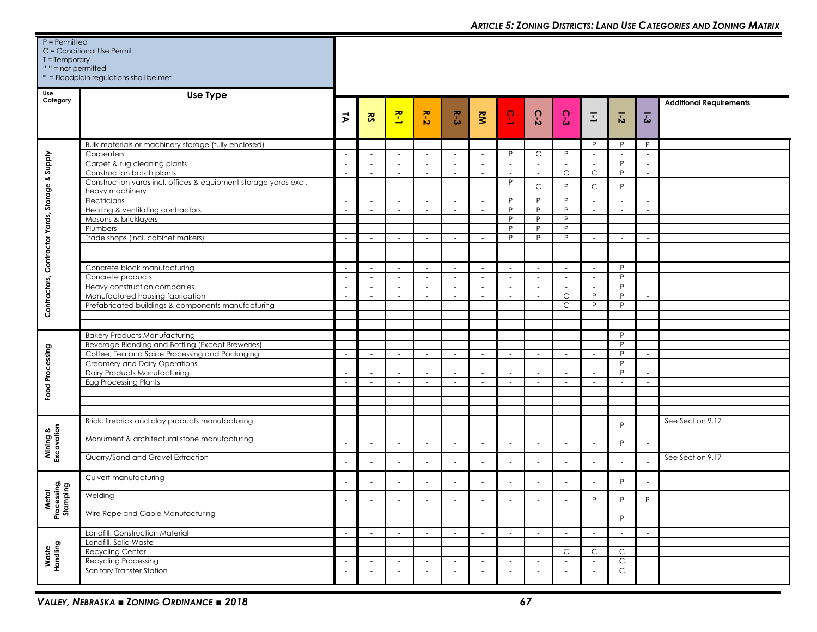| $P = Permitted$<br>$T = Temporary$<br>"-" = $not$ permitted | C = Conditional Use Permit<br>*1 = Floodplain regulations shall be met                 |                          |                         |                          |                                 |                                    |                         |                          |                                                      |                          |                        |                  |                                    |                                |
|-------------------------------------------------------------|----------------------------------------------------------------------------------------|--------------------------|-------------------------|--------------------------|---------------------------------|------------------------------------|-------------------------|--------------------------|------------------------------------------------------|--------------------------|------------------------|------------------|------------------------------------|--------------------------------|
| Use<br>Category                                             | <b>Use Type</b>                                                                        |                          |                         |                          |                                 |                                    |                         |                          |                                                      |                          |                        |                  |                                    | <b>Additional Requirements</b> |
|                                                             |                                                                                        | ヌ                        | $\overline{\mathbf{S}}$ | $\mathbf{r}$             | $\overline{z}$ - $\overline{z}$ | $R - 3$                            | $\tilde{\mathbf{z}}$    | $\overline{6}$           | $C-2$                                                | C-3                      | Ξ                      | $\overline{5}$   | $\overline{5}$                     |                                |
|                                                             | Bulk materials or machinery storage (fully enclosed)                                   | $\overline{\phantom{a}}$ | $\sim$                  |                          | $\sim$                          | $\sim$                             | $\sim$                  |                          | $\overline{\phantom{a}}$                             | $\sim$                   | P                      | P                | P                                  |                                |
|                                                             | Carpenters                                                                             | $\sim$                   | $\sim$                  | $\sim$                   | $\sim$                          | $\sim$                             | $\sim$                  | P                        | C                                                    | P                        | $\sim$                 | $\sim$<br>P      | $\sim$                             |                                |
|                                                             | Carpet & rug cleaning plants<br>Construction batch plants                              | $\sim$<br>$\sim$         | $\sim$<br>$\sim$        | $\sim$<br>$\sim$         | $\sim$<br>$\sim$                | $\overline{\phantom{a}}$<br>$\sim$ | $\sim$<br>$\sim$        | $\sim$<br>$\sim$         | $\overline{\phantom{a}}$<br>$\overline{\phantom{a}}$ | $\sim$<br>C              | $\sim$<br>$\mathsf{C}$ | P                | $\sim$<br>$\sim$                   |                                |
| Contractors, Contractor Yards, Storage & Supply             | Construction yards incl. offices & equipment storage yards excl.<br>heavy machinery    |                          |                         |                          |                                 | $\sim$                             |                         | P                        | $\mathsf C$                                          | P                        | $\mathsf C$            | P                | $\overline{\phantom{a}}$           |                                |
|                                                             | Electricians                                                                           | $\sim$                   | $\sim$                  | $\sim$                   | $\sim$                          | $\sim$                             | $\sim$                  | P                        | P                                                    | P                        | $\sim$                 | $\sim$           | $\sim$                             |                                |
|                                                             | Heating & ventilating contractors                                                      | $\sim$                   | $\sim$                  | $\sim$                   | $\sim$                          | $\sim$                             | $\sim$                  | P                        | P                                                    | P                        | $\sim$                 | $\sim$           | $\sim$                             |                                |
|                                                             | Masons & bricklayers<br>Plumbers                                                       | ÷.                       | $\sim$<br>$\sim$        | $\sim$<br>$\sim$         | $\sim$                          | $\sim$<br>$\sim$                   | $\sim$<br>$\sim$        | P<br>P                   | $\mathsf{P}$<br>P                                    | P<br>P                   | $\sim$<br>$\sim$       | $\sim$<br>$\sim$ | $\sim$<br>÷.                       |                                |
|                                                             | Trade shops (incl. cabinet makers)                                                     |                          |                         |                          |                                 | $\sim$                             | ×.                      | P                        | P                                                    | P                        | ÷.                     |                  |                                    |                                |
|                                                             |                                                                                        |                          |                         |                          |                                 |                                    |                         |                          |                                                      |                          |                        |                  |                                    |                                |
|                                                             |                                                                                        |                          |                         |                          |                                 |                                    |                         |                          |                                                      |                          |                        |                  |                                    |                                |
|                                                             | Concrete block manufacturing                                                           | $\overline{\phantom{a}}$ | $\sim$                  | $\sim$                   | $\overline{\phantom{a}}$        | $\sim$                             | $\sim$                  | $\sim$                   | $\sim$                                               | $\sim$                   | $\sim$                 | P                |                                    |                                |
|                                                             | Concrete products                                                                      | $\sim$                   | $\sim$                  | $\sim$                   | $\sim$                          | $\sim$                             | $\sim$                  | $\sim$                   | $\sim$                                               | $\sim$                   | $\sim$                 | P                |                                    |                                |
|                                                             | Heavy construction companies                                                           | $\sim$                   | $\sim$                  | $\sim$                   | $\sim$                          | $\sim$                             | $\sim$                  | $\sim$                   | $\sim$                                               | $\sim$                   | $\sim$                 | P                |                                    |                                |
|                                                             | Manufactured housing fabrication<br>Prefabricated buildings & components manufacturing | $\sim$<br>÷.             | $\sim$<br>$\sim$        | $\sim$<br>$\sim$         | $\sim$<br>$\sim$                | $\sim$<br>$\sim$                   | $\sim$<br>$\sim$        | $\sim$<br>$\sim$         | $\sim$<br>$\sim$                                     | C<br>$\mathsf{C}$        | P<br>P                 | P<br>P           | $\sim$<br>$\sim$                   |                                |
|                                                             |                                                                                        |                          |                         |                          |                                 |                                    |                         |                          |                                                      |                          |                        |                  |                                    |                                |
|                                                             |                                                                                        |                          |                         |                          |                                 |                                    |                         |                          |                                                      |                          |                        |                  |                                    |                                |
|                                                             | <b>Bakery Products Manufacturing</b>                                                   | $\overline{\phantom{a}}$ | $\sim$                  | $\sim$                   | $\sim$                          | $\sim$                             | $\sim$                  | $\sim$                   | $\sim$                                               | $\sim$                   | $\sim$                 | P                | $\sim$                             |                                |
|                                                             | Beverage Blending and Bottling (Except Breweries)                                      | $\sim$                   | $\sim$                  | $\sim$                   | $\sim$                          | $\sim$                             | $\sim$                  | $\sim$                   | $\overline{\phantom{a}}$                             | $\sim$                   | $\sim$                 | P                | $\sim$                             |                                |
|                                                             | Coffee, Tea and Spice Processing and Packaging                                         | $\sim$                   | $\sim$                  | $\sim$                   | $\sim$                          | $\sim$                             | $\sim$                  | $\sim$                   | $\sim$                                               | $\sim$                   | $\sim$                 | P                | $\sim$                             |                                |
|                                                             | Creamery and Dairy Operations                                                          | $\sim$                   | $\sim$                  | $\sim$                   | $\sim$                          | $\sim$                             | $\sim$                  | $\sim$                   | $\overline{\phantom{a}}$                             | $\sim$                   | $\sim$                 | P                | $\sim$                             |                                |
| Food Processing                                             | Dairy Products Manufacturing<br><b>Egg Processing Plants</b>                           | ÷.<br>$\sim$             | $\sim$<br>$\sim$        | $\sim$<br>$\sim$         | $\sim$<br>$\sim$                | $\mathcal{L}$<br>$\sim$            | $\mathcal{L}$<br>$\sim$ | $\sim$<br>$\sim$         | $\sim$<br>$\sim$                                     | $\sim$<br>$\sim$         | $\sim$<br>×.           | P<br>$\sim$      | $\overline{\phantom{a}}$<br>$\sim$ |                                |
|                                                             |                                                                                        |                          |                         |                          |                                 |                                    |                         |                          |                                                      |                          |                        |                  |                                    |                                |
|                                                             |                                                                                        |                          |                         |                          |                                 |                                    |                         |                          |                                                      |                          |                        |                  |                                    |                                |
|                                                             |                                                                                        |                          |                         |                          |                                 |                                    |                         |                          |                                                      |                          |                        |                  |                                    |                                |
|                                                             | Brick, firebrick and clay products manufacturing                                       |                          |                         |                          |                                 |                                    |                         |                          |                                                      |                          |                        | P                |                                    | See Section 9.17               |
| Mining &<br>Excavation                                      | Monument & architectural stone manufacturing                                           |                          |                         |                          |                                 |                                    |                         |                          |                                                      |                          |                        | P                |                                    |                                |
|                                                             | Quarry/Sand and Gravel Extraction                                                      |                          |                         |                          |                                 |                                    |                         |                          |                                                      |                          |                        |                  |                                    | See Section 9.17               |
|                                                             | Culvert manufacturing                                                                  |                          |                         |                          |                                 |                                    |                         |                          |                                                      | $\overline{\phantom{a}}$ | ٠                      | P                |                                    |                                |
| Metal<br>Processing,<br>Stamping                            | Welding                                                                                |                          |                         |                          |                                 |                                    |                         | $\overline{\phantom{a}}$ |                                                      |                          | P                      | P                | P                                  |                                |
|                                                             | Wire Rope and Cable Manufacturing                                                      |                          |                         |                          |                                 |                                    |                         |                          |                                                      |                          |                        | P                |                                    |                                |
|                                                             | Landfill, Construction Material                                                        | $\overline{\phantom{a}}$ | $\sim$                  | $\overline{\phantom{a}}$ | $\overline{\phantom{a}}$        | $\overline{\phantom{a}}$           | $\sim$                  | $\overline{\phantom{a}}$ | $\overline{\phantom{a}}$                             | $\sim$                   | $\sim$                 | ٠                | $\sim$                             |                                |
|                                                             | Landfill, Solid Waste                                                                  | $\sim$                   | $\sim$                  | $\sim$                   | $\sim$                          | $\sim$                             | $\sim$                  | $\sim$                   | $\overline{\phantom{a}}$                             | $\sim$                   | $\sim$                 | $\sim$           | $\sim$                             |                                |
|                                                             | Recycling Center<br><b>Recycling Processing</b>                                        | $\sim$<br>$\sim$         | $\sim$<br>$\sim$        | $\sim$<br>$\sim$         | $\sim$<br>$\sim$                | $\sim$<br>$\sim$                   | $\sim$<br>$\sim$        | $\sim$<br>$\sim$         | $\sim$<br>$\sim$                                     | C<br>$\sim$              | $\mathsf{C}$<br>$\sim$ | $\mathsf C$<br>C |                                    |                                |
| Waste<br>Handling                                           | Sanitary Transfer Station                                                              | $\sim$                   | $\sim$                  | $\sim$                   | $\sim$                          | $\sim$                             | $\sim$                  | $\sim$                   | $\sim$                                               | $\sim$                   | $\sim$                 | C                |                                    |                                |
|                                                             |                                                                                        |                          |                         |                          |                                 |                                    |                         |                          |                                                      |                          |                        |                  |                                    |                                |
|                                                             |                                                                                        |                          |                         |                          |                                 |                                    |                         |                          |                                                      |                          |                        |                  |                                    |                                |